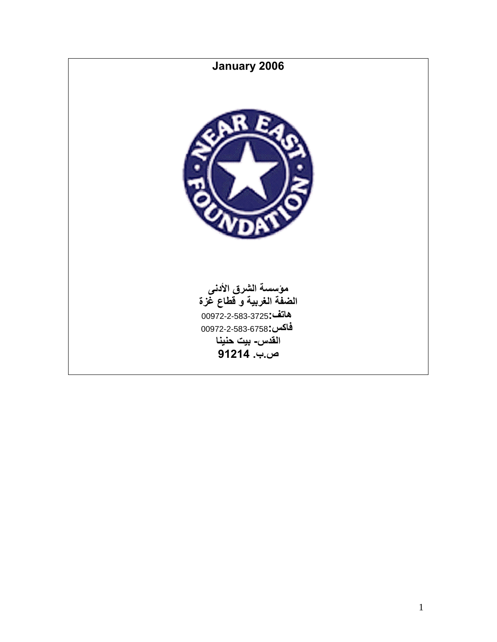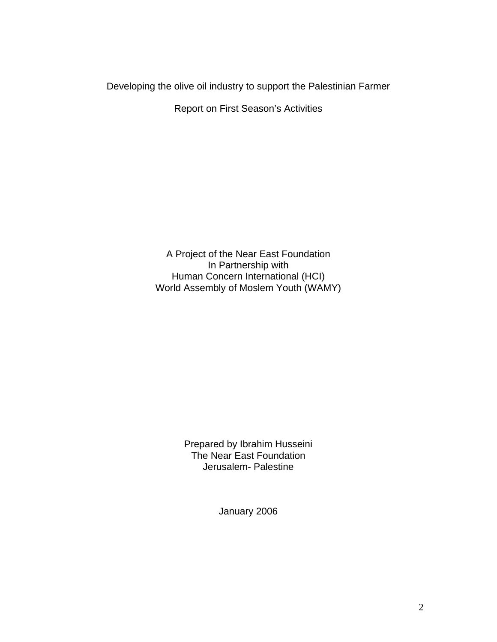Developing the olive oil industry to support the Palestinian Farmer

Report on First Season's Activities

A Project of the Near East Foundation In Partnership with Human Concern International (HCI) World Assembly of Moslem Youth (WAMY)

> Prepared by Ibrahim Husseini The Near East Foundation Jerusalem- Palestine

> > January 2006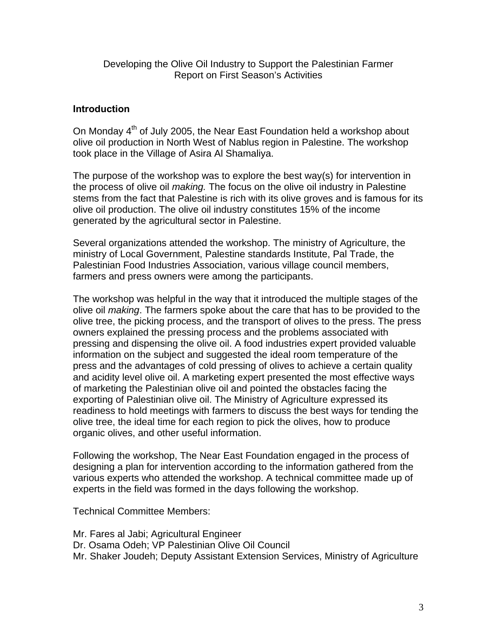Developing the Olive Oil Industry to Support the Palestinian Farmer Report on First Season's Activities

### **Introduction**

On Monday 4<sup>th</sup> of July 2005, the Near East Foundation held a workshop about olive oil production in North West of Nablus region in Palestine. The workshop took place in the Village of Asira Al Shamaliya.

The purpose of the workshop was to explore the best way(s) for intervention in the process of olive oil *making.* The focus on the olive oil industry in Palestine stems from the fact that Palestine is rich with its olive groves and is famous for its olive oil production. The olive oil industry constitutes 15% of the income generated by the agricultural sector in Palestine.

Several organizations attended the workshop. The ministry of Agriculture, the ministry of Local Government, Palestine standards Institute, Pal Trade, the Palestinian Food Industries Association, various village council members, farmers and press owners were among the participants.

The workshop was helpful in the way that it introduced the multiple stages of the olive oil *making*. The farmers spoke about the care that has to be provided to the olive tree, the picking process, and the transport of olives to the press. The press owners explained the pressing process and the problems associated with pressing and dispensing the olive oil. A food industries expert provided valuable information on the subject and suggested the ideal room temperature of the press and the advantages of cold pressing of olives to achieve a certain quality and acidity level olive oil. A marketing expert presented the most effective ways of marketing the Palestinian olive oil and pointed the obstacles facing the exporting of Palestinian olive oil. The Ministry of Agriculture expressed its readiness to hold meetings with farmers to discuss the best ways for tending the olive tree, the ideal time for each region to pick the olives, how to produce organic olives, and other useful information.

Following the workshop, The Near East Foundation engaged in the process of designing a plan for intervention according to the information gathered from the various experts who attended the workshop. A technical committee made up of experts in the field was formed in the days following the workshop.

Technical Committee Members:

- Mr. Fares al Jabi; Agricultural Engineer
- Dr. Osama Odeh; VP Palestinian Olive Oil Council
- Mr. Shaker Joudeh; Deputy Assistant Extension Services, Ministry of Agriculture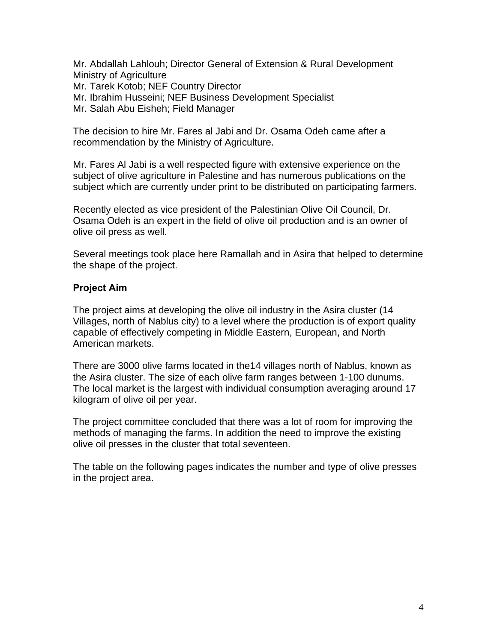Mr. Abdallah Lahlouh; Director General of Extension & Rural Development Ministry of Agriculture Mr. Tarek Kotob; NEF Country Director Mr. Ibrahim Husseini; NEF Business Development Specialist Mr. Salah Abu Eisheh; Field Manager

The decision to hire Mr. Fares al Jabi and Dr. Osama Odeh came after a recommendation by the Ministry of Agriculture.

Mr. Fares Al Jabi is a well respected figure with extensive experience on the subject of olive agriculture in Palestine and has numerous publications on the subject which are currently under print to be distributed on participating farmers.

Recently elected as vice president of the Palestinian Olive Oil Council, Dr. Osama Odeh is an expert in the field of olive oil production and is an owner of olive oil press as well.

Several meetings took place here Ramallah and in Asira that helped to determine the shape of the project.

### **Project Aim**

The project aims at developing the olive oil industry in the Asira cluster (14 Villages, north of Nablus city) to a level where the production is of export quality capable of effectively competing in Middle Eastern, European, and North American markets.

There are 3000 olive farms located in the14 villages north of Nablus, known as the Asira cluster. The size of each olive farm ranges between 1-100 dunums. The local market is the largest with individual consumption averaging around 17 kilogram of olive oil per year.

The project committee concluded that there was a lot of room for improving the methods of managing the farms. In addition the need to improve the existing olive oil presses in the cluster that total seventeen.

The table on the following pages indicates the number and type of olive presses in the project area.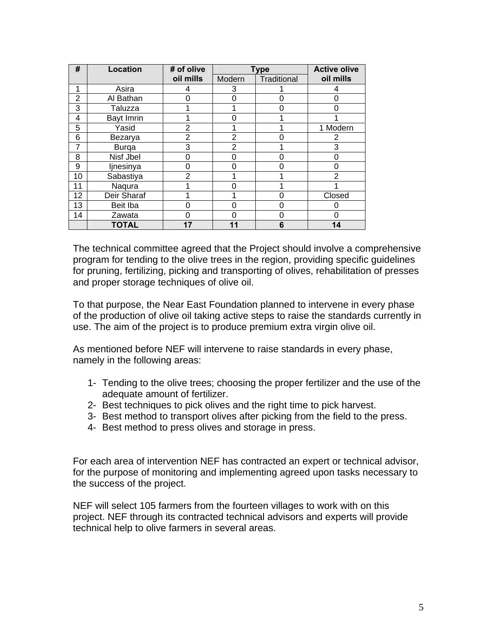| #  | <b>Location</b> | # of olive     | <b>Type</b>    |             | <b>Active olive</b> |
|----|-----------------|----------------|----------------|-------------|---------------------|
|    |                 | oil mills      | Modern         | Traditional | oil mills           |
| 1  | Asira           | 4              | 3              |             |                     |
| 2  | Al Bathan       | ი              | 0              | 0           | 0                   |
| 3  | Taluzza         |                |                | O           | O                   |
| 4  | Bayt Imrin      |                | ი              |             |                     |
| 5  | Yasid           | 2              |                |             | 1 Modern            |
| 6  | Bezarya         | $\overline{2}$ | 2              |             | 2                   |
| 7  | <b>Burga</b>    | 3              | $\overline{2}$ |             | 3                   |
| 8  | Nisf Jbel       | ი              | 0              | ი           | 0                   |
| 9  | ljnesinya       | 0              | ი              | ი           | 0                   |
| 10 | Sabastiya       | $\overline{2}$ |                |             | $\overline{2}$      |
| 11 | Naqura          |                | O              |             |                     |
| 12 | Deir Sharaf     |                |                | Ω           | Closed              |
| 13 | Beit Iba        | 0              | ი              | 0           |                     |
| 14 | Zawata          | N              | O              | O           | 0                   |
|    | <b>TOTAL</b>    | 17             | 11             | 6           | 14                  |

The technical committee agreed that the Project should involve a comprehensive program for tending to the olive trees in the region, providing specific guidelines for pruning, fertilizing, picking and transporting of olives, rehabilitation of presses and proper storage techniques of olive oil.

To that purpose, the Near East Foundation planned to intervene in every phase of the production of olive oil taking active steps to raise the standards currently in use. The aim of the project is to produce premium extra virgin olive oil.

As mentioned before NEF will intervene to raise standards in every phase, namely in the following areas:

- 1- Tending to the olive trees; choosing the proper fertilizer and the use of the adequate amount of fertilizer.
- 2- Best techniques to pick olives and the right time to pick harvest.
- 3- Best method to transport olives after picking from the field to the press.
- 4- Best method to press olives and storage in press.

For each area of intervention NEF has contracted an expert or technical advisor, for the purpose of monitoring and implementing agreed upon tasks necessary to the success of the project.

NEF will select 105 farmers from the fourteen villages to work with on this project. NEF through its contracted technical advisors and experts will provide technical help to olive farmers in several areas.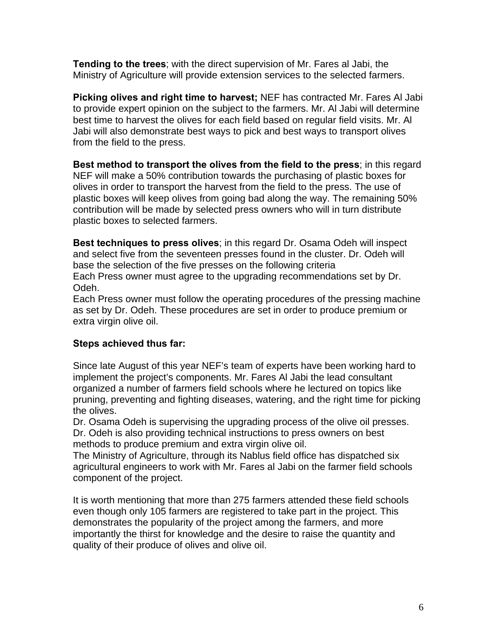**Tending to the trees**; with the direct supervision of Mr. Fares al Jabi, the Ministry of Agriculture will provide extension services to the selected farmers.

**Picking olives and right time to harvest;** NEF has contracted Mr. Fares Al Jabi to provide expert opinion on the subject to the farmers. Mr. Al Jabi will determine best time to harvest the olives for each field based on regular field visits. Mr. Al Jabi will also demonstrate best ways to pick and best ways to transport olives from the field to the press.

**Best method to transport the olives from the field to the press**; in this regard NEF will make a 50% contribution towards the purchasing of plastic boxes for olives in order to transport the harvest from the field to the press. The use of plastic boxes will keep olives from going bad along the way. The remaining 50% contribution will be made by selected press owners who will in turn distribute plastic boxes to selected farmers.

**Best techniques to press olives**; in this regard Dr. Osama Odeh will inspect and select five from the seventeen presses found in the cluster. Dr. Odeh will base the selection of the five presses on the following criteria Each Press owner must agree to the upgrading recommendations set by Dr. Odeh.

Each Press owner must follow the operating procedures of the pressing machine as set by Dr. Odeh. These procedures are set in order to produce premium or extra virgin olive oil.

# **Steps achieved thus far:**

Since late August of this year NEF's team of experts have been working hard to implement the project's components. Mr. Fares Al Jabi the lead consultant organized a number of farmers field schools where he lectured on topics like pruning, preventing and fighting diseases, watering, and the right time for picking the olives.

Dr. Osama Odeh is supervising the upgrading process of the olive oil presses. Dr. Odeh is also providing technical instructions to press owners on best methods to produce premium and extra virgin olive oil.

The Ministry of Agriculture, through its Nablus field office has dispatched six agricultural engineers to work with Mr. Fares al Jabi on the farmer field schools component of the project.

It is worth mentioning that more than 275 farmers attended these field schools even though only 105 farmers are registered to take part in the project. This demonstrates the popularity of the project among the farmers, and more importantly the thirst for knowledge and the desire to raise the quantity and quality of their produce of olives and olive oil.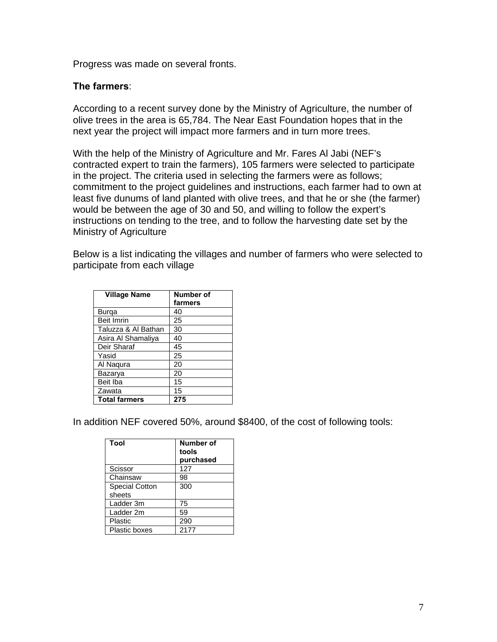Progress was made on several fronts.

#### **The farmers**:

According to a recent survey done by the Ministry of Agriculture, the number of olive trees in the area is 65,784. The Near East Foundation hopes that in the next year the project will impact more farmers and in turn more trees.

With the help of the Ministry of Agriculture and Mr. Fares Al Jabi (NEF's contracted expert to train the farmers), 105 farmers were selected to participate in the project. The criteria used in selecting the farmers were as follows; commitment to the project guidelines and instructions, each farmer had to own at least five dunums of land planted with olive trees, and that he or she (the farmer) would be between the age of 30 and 50, and willing to follow the expert's instructions on tending to the tree, and to follow the harvesting date set by the Ministry of Agriculture

Below is a list indicating the villages and number of farmers who were selected to participate from each village

| <b>Village Name</b>  | Number of |
|----------------------|-----------|
|                      | farmers   |
| Burga                | 40        |
| <b>Beit Imrin</b>    | 25        |
| Taluzza & Al Bathan  | 30        |
| Asira Al Shamaliya   | 40        |
| Deir Sharaf          | 45        |
| Yasid                | 25        |
| Al Nagura            | 20        |
| Bazarya              | 20        |
| Beit Iba             | 15        |
| Zawata               | 15        |
| <b>Total farmers</b> | 275       |

In addition NEF covered 50%, around \$8400, of the cost of following tools:

| Tool                  | <b>Number of</b><br>tools<br>purchased |
|-----------------------|----------------------------------------|
| Scissor               | 127                                    |
| Chainsaw              | 98                                     |
| <b>Special Cotton</b> | 300                                    |
| sheets                |                                        |
| Ladder 3m             | 75                                     |
| Ladder 2m             | 59                                     |
| Plastic               | 290                                    |
| Plastic boxes         | 2177                                   |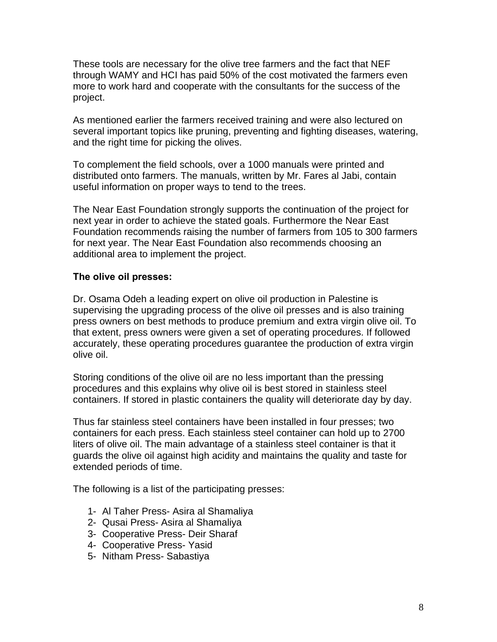These tools are necessary for the olive tree farmers and the fact that NEF through WAMY and HCI has paid 50% of the cost motivated the farmers even more to work hard and cooperate with the consultants for the success of the project.

As mentioned earlier the farmers received training and were also lectured on several important topics like pruning, preventing and fighting diseases, watering, and the right time for picking the olives.

To complement the field schools, over a 1000 manuals were printed and distributed onto farmers. The manuals, written by Mr. Fares al Jabi, contain useful information on proper ways to tend to the trees.

The Near East Foundation strongly supports the continuation of the project for next year in order to achieve the stated goals. Furthermore the Near East Foundation recommends raising the number of farmers from 105 to 300 farmers for next year. The Near East Foundation also recommends choosing an additional area to implement the project.

#### **The olive oil presses:**

Dr. Osama Odeh a leading expert on olive oil production in Palestine is supervising the upgrading process of the olive oil presses and is also training press owners on best methods to produce premium and extra virgin olive oil. To that extent, press owners were given a set of operating procedures. If followed accurately, these operating procedures guarantee the production of extra virgin olive oil.

Storing conditions of the olive oil are no less important than the pressing procedures and this explains why olive oil is best stored in stainless steel containers. If stored in plastic containers the quality will deteriorate day by day.

Thus far stainless steel containers have been installed in four presses; two containers for each press. Each stainless steel container can hold up to 2700 liters of olive oil. The main advantage of a stainless steel container is that it guards the olive oil against high acidity and maintains the quality and taste for extended periods of time.

The following is a list of the participating presses:

- 1- Al Taher Press- Asira al Shamaliya
- 2- Qusai Press- Asira al Shamaliya
- 3- Cooperative Press- Deir Sharaf
- 4- Cooperative Press- Yasid
- 5- Nitham Press- Sabastiya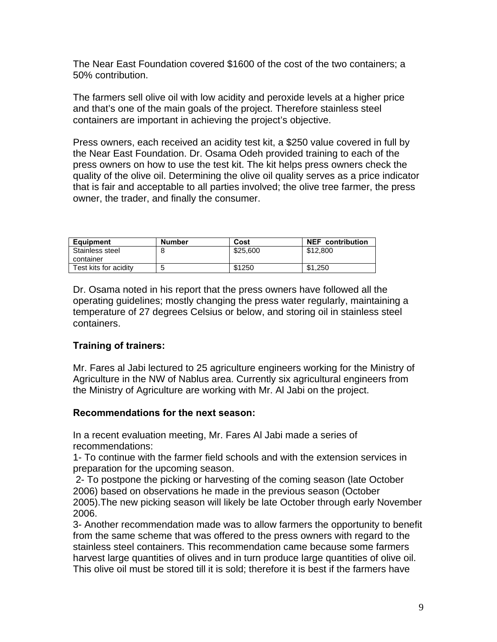The Near East Foundation covered \$1600 of the cost of the two containers; a 50% contribution.

The farmers sell olive oil with low acidity and peroxide levels at a higher price and that's one of the main goals of the project. Therefore stainless steel containers are important in achieving the project's objective.

Press owners, each received an acidity test kit, a \$250 value covered in full by the Near East Foundation. Dr. Osama Odeh provided training to each of the press owners on how to use the test kit. The kit helps press owners check the quality of the olive oil. Determining the olive oil quality serves as a price indicator that is fair and acceptable to all parties involved; the olive tree farmer, the press owner, the trader, and finally the consumer.

| <b>Equipment</b>      | <b>Number</b> | Cost     | <b>NEF</b> contribution |
|-----------------------|---------------|----------|-------------------------|
| Stainless steel       |               | \$25,600 | \$12,800                |
| container             |               |          |                         |
| Test kits for acidity |               | \$1250   | \$1,250                 |

Dr. Osama noted in his report that the press owners have followed all the operating guidelines; mostly changing the press water regularly, maintaining a temperature of 27 degrees Celsius or below, and storing oil in stainless steel containers.

# **Training of trainers:**

Mr. Fares al Jabi lectured to 25 agriculture engineers working for the Ministry of Agriculture in the NW of Nablus area. Currently six agricultural engineers from the Ministry of Agriculture are working with Mr. Al Jabi on the project.

#### **Recommendations for the next season:**

In a recent evaluation meeting, Mr. Fares Al Jabi made a series of recommendations:

1- To continue with the farmer field schools and with the extension services in preparation for the upcoming season.

 2- To postpone the picking or harvesting of the coming season (late October 2006) based on observations he made in the previous season (October 2005).The new picking season will likely be late October through early November 2006.

3- Another recommendation made was to allow farmers the opportunity to benefit from the same scheme that was offered to the press owners with regard to the stainless steel containers. This recommendation came because some farmers harvest large quantities of olives and in turn produce large quantities of olive oil. This olive oil must be stored till it is sold; therefore it is best if the farmers have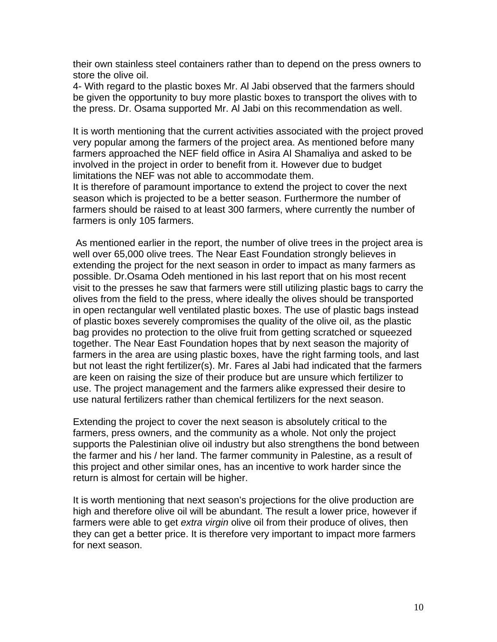their own stainless steel containers rather than to depend on the press owners to store the olive oil.

4- With regard to the plastic boxes Mr. Al Jabi observed that the farmers should be given the opportunity to buy more plastic boxes to transport the olives with to the press. Dr. Osama supported Mr. Al Jabi on this recommendation as well.

It is worth mentioning that the current activities associated with the project proved very popular among the farmers of the project area. As mentioned before many farmers approached the NEF field office in Asira Al Shamaliya and asked to be involved in the project in order to benefit from it. However due to budget limitations the NEF was not able to accommodate them.

It is therefore of paramount importance to extend the project to cover the next season which is projected to be a better season. Furthermore the number of farmers should be raised to at least 300 farmers, where currently the number of farmers is only 105 farmers.

 As mentioned earlier in the report, the number of olive trees in the project area is well over 65,000 olive trees. The Near East Foundation strongly believes in extending the project for the next season in order to impact as many farmers as possible. Dr.Osama Odeh mentioned in his last report that on his most recent visit to the presses he saw that farmers were still utilizing plastic bags to carry the olives from the field to the press, where ideally the olives should be transported in open rectangular well ventilated plastic boxes. The use of plastic bags instead of plastic boxes severely compromises the quality of the olive oil, as the plastic bag provides no protection to the olive fruit from getting scratched or squeezed together. The Near East Foundation hopes that by next season the majority of farmers in the area are using plastic boxes, have the right farming tools, and last but not least the right fertilizer(s). Mr. Fares al Jabi had indicated that the farmers are keen on raising the size of their produce but are unsure which fertilizer to use. The project management and the farmers alike expressed their desire to use natural fertilizers rather than chemical fertilizers for the next season.

Extending the project to cover the next season is absolutely critical to the farmers, press owners, and the community as a whole. Not only the project supports the Palestinian olive oil industry but also strengthens the bond between the farmer and his / her land. The farmer community in Palestine, as a result of this project and other similar ones, has an incentive to work harder since the return is almost for certain will be higher.

It is worth mentioning that next season's projections for the olive production are high and therefore olive oil will be abundant. The result a lower price, however if farmers were able to get *extra virgin* olive oil from their produce of olives, then they can get a better price. It is therefore very important to impact more farmers for next season.